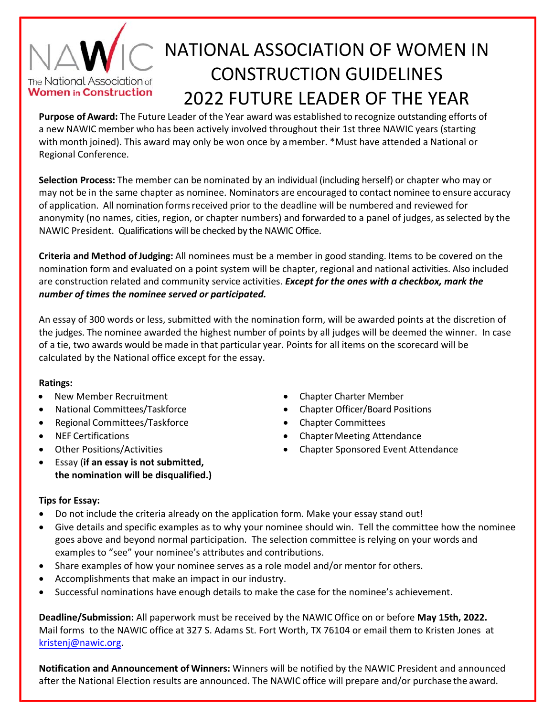## NATIONAL ASSOCIATION OF WOMEN IN CONSTRUCTION GUIDELINES The National Association of **Women in Construction** 2022 FUTURE LEADER OF THE YEAR

**Purpose of Award:** The Future Leader of the Year award was established to recognize outstanding efforts of a new NAWIC member who has been actively involved throughout their 1st three NAWIC years (starting with month joined). This award may only be won once by a member. \*Must have attended a National or Regional Conference.

**Selection Process:** The member can be nominated by an individual (including herself) or chapter who may or may not be in the same chapter as nominee. Nominators are encouraged to contact nominee to ensure accuracy of application. All nomination forms received prior to the deadline will be numbered and reviewed for anonymity (no names, cities, region, or chapter numbers) and forwarded to a panel of judges, as selected by the NAWIC President.Qualifications will be checked by the NAWIC Office.

**Criteria and Method of Judging:** All nominees must be a member in good standing. Items to be covered on the nomination form and evaluated on a point system will be chapter, regional and national activities. Also included are construction related and community service activities. *Except for the ones with a checkbox, mark the number of times the nominee served or participated.* 

An essay of 300 words or less, submitted with the nomination form, will be awarded points at the discretion of the judges. The nominee awarded the highest number of points by all judges will be deemed the winner. In case of a tie, two awards would be made in that particular year. Points for all items on the scorecard will be calculated by the National office except for the essay.

### **Ratings:**

- New Member Recruitment **Chapter Charter Member Chapter Charter Member**
- 
- Regional Committees/Taskforce **Chapter Committees**
- 
- 
- Essay (**if an essay is not submitted, the nomination will be disqualified.)**
- 
- National Committees/Taskforce **Chapter Officer/Board Positions** 
	-
- NEF Certifications **Chapter Meeting Attendance Chapter Meeting Attendance**
- Other Positions/Activities Chapter Sponsored Event Attendance

## **Tips for Essay:**

- Do not include the criteria already on the application form. Make your essay stand out!
- Give details and specific examples as to why your nominee should win. Tell the committee how the nominee goes above and beyond normal participation. The selection committee is relying on your words and examples to "see" your nominee's attributes and contributions.
- Share examples of how your nominee serves as a role model and/or mentor for others.
- Accomplishments that make an impact in our industry.
- Successful nominations have enough details to make the case for the nominee's achievement.

**Deadline/Submission:** All paperwork must be received by the NAWIC Office on or before **May 15th, 2022.** Mail forms to the NAWIC office at 327 S. Adams St. Fort Worth, TX 76104 or email them to Kristen Jones at kristenj@nawic.org.

**Notification and Announcement of Winners:** Winners will be notified by the NAWIC President and announced after the National Election results are announced. The NAWIC office will prepare and/or purchase the award.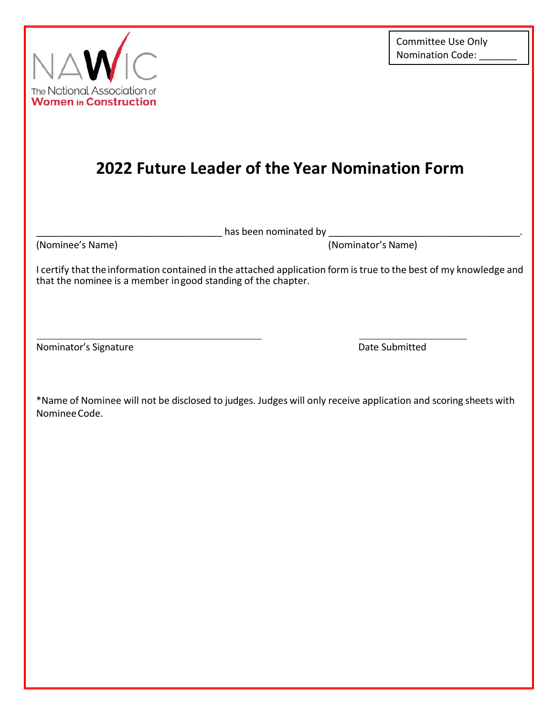



# **2022 Future Leader of the Year Nomination Form**

has been nominated by **with** 

(Nominee's Name) (Nominator's Name)

I certify that the information contained in the attached application form is true to the best of my knowledge and that the nominee is a member ingood standing of the chapter.

Nominator's Signature **Nominator's Signature Date Submitted** 

\*Name of Nominee will not be disclosed to judges. Judges will only receive application and scoring sheets with Nominee Code.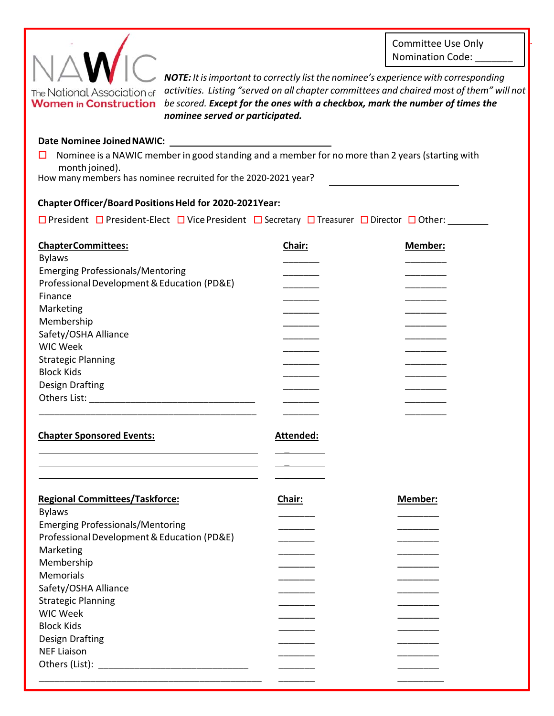Committee Use Only Nomination Code:



*NOTE: It is important to correctly list the nominee's experience with corresponding activities. Listing "served on all chapter committees and chaired most of them" will not*  **Women** in Construction be scored. Except for the ones with a checkbox, mark the number of times the *nominee served or participated.* 

#### **Date Nominee Joined NAWIC:**

□ Nominee is a NAWIC member in good standing and a member for no more than 2 years (starting with month joined).

How many members has nominee recruited for the 2020-2021 year?

### **ChapterOfficer/Board Positions Held for 2020-2021Year:**

☐ President ☐ President‐Elect ☐ Vice President ☐ Secretary ☐ Treasurer ☐ Director ☐ Other: \_\_\_\_\_\_\_\_

| <b>ChapterCommittees:</b>                   | Chair:    | Member: |
|---------------------------------------------|-----------|---------|
| <b>Bylaws</b>                               |           |         |
| <b>Emerging Professionals/Mentoring</b>     |           |         |
| Professional Development & Education (PD&E) |           |         |
| Finance                                     |           |         |
| Marketing                                   |           |         |
| Membership                                  |           |         |
| Safety/OSHA Alliance                        |           |         |
| <b>WIC Week</b>                             |           |         |
| <b>Strategic Planning</b>                   |           |         |
| <b>Block Kids</b>                           |           |         |
| Design Drafting                             |           |         |
|                                             |           |         |
|                                             |           |         |
| <b>Chapter Sponsored Events:</b>            | Attended: |         |
|                                             |           |         |
|                                             |           |         |
|                                             |           |         |
| <b>Regional Committees/Taskforce:</b>       | Chair:    | Member: |
| <b>Bylaws</b>                               |           |         |
| <b>Emerging Professionals/Mentoring</b>     |           |         |
| Professional Development & Education (PD&E) |           |         |
| Marketing                                   |           |         |
| Membership                                  |           |         |
| Memorials                                   |           |         |
| Safety/OSHA Alliance                        |           |         |
| <b>Strategic Planning</b>                   |           |         |
| <b>WIC Week</b>                             |           |         |
| <b>Block Kids</b>                           |           |         |
| <b>Design Drafting</b>                      |           |         |
| <b>NEF Liaison</b>                          |           |         |
|                                             |           |         |